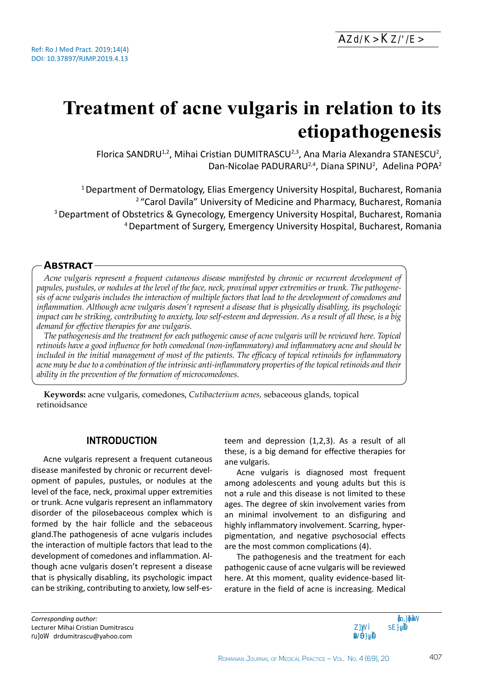# **Treatment of acne vulgaris in relation to its etiopathogenesis**

Florica SANDRU<sup>1,2</sup>, Mihai Cristian DUMITRASCU<sup>2,3</sup>, Ana Maria Alexandra STANESCU<sup>2</sup>, Dan-Nicolae PADURARU<sup>2,4</sup>, Diana SPINU<sup>2</sup>, Adelina POPA<sup>2</sup>

1 Department of Dermatology, Elias Emergency University Hospital, Bucharest, Romania <sup>2</sup> "Carol Davila" University of Medicine and Pharmacy, Bucharest, Romania 3 Department of Obstetrics & Gynecology, Emergency University Hospital, Bucharest, Romania 4 Department of Surgery, Emergency University Hospital, Bucharest, Romania

## **Abstract**

*Acne vulgaris represent a frequent cutaneous disease manifested by chronic or recurrent development of papules, pustules, or nodules at the level of the face, neck, proximal upper extremities or trunk. The pathogenesis of acne vulgaris includes the interaction of multiple factors that lead to the development of comedones and inflammation. Although acne vulgaris dosen't represent a disease that is physically disabling, its psychologic impact can be striking, contributing to anxiety, low self-esteem and depression. As a result of all these, is a big demand for effective therapies for ane vulgaris.* 

*The pathogenesis and the treatment for each pathogenic cause of acne vulgaris will be reviewed here. Topical retinoids have a good influence for both comedonal (non-inflammatory) and inflammatory acne and should be included in the initial management of most of the patients. The efficacy of topical retinoids for inflammatory acne may be due to a combination of the intrinsic anti-inflammatory properties of the topical retinoids and their ability in the prevention of the formation of microcomedones.* 

**Keywords:** acne vulgaris, comedones, *Cutibacterium acnes,* sebaceous glands, topical retinoidsance

# **Introduction**

Acne vulgaris represent a frequent cutaneous disease manifested by chronic or recurrent development of papules, pustules, or nodules at the level of the face, neck, proximal upper extremities or trunk. Acne vulgaris represent an inflammatory disorder of the pilosebaceous complex which is formed by the hair follicle and the sebaceous gland.The pathogenesis of acne vulgaris includes the interaction of multiple factors that lead to the development of comedones and inflammation. Although acne vulgaris dosen't represent a disease that is physically disabling, its psychologic impact can be striking, contributing to anxiety, low self-es-

teem and depression (1,2,3). As a result of all these, is a big demand for effective therapies for ane vulgaris.

Acne vulgaris is diagnosed most frequent among adolescents and young adults but this is not a rule and this disease is not limited to these ages. The degree of skin involvement varies from an minimal involvement to an disfiguring and highly inflammatory involvement. Scarring, hyperpigmentation, and negative psychosocial effects are the most common complications (4).

The pathogenesis and the treatment for each pathogenic cause of acne vulgaris will be reviewed here. At this moment, quality evidence-based literature in the field of acne is increasing. Medical

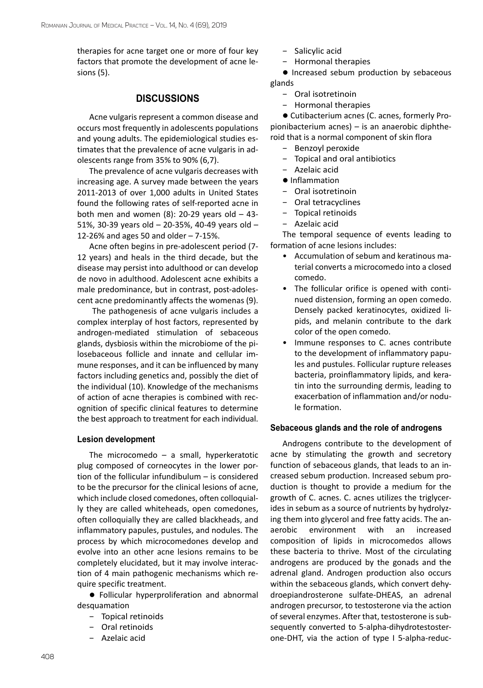therapies for acne target one or more of four key factors that promote the development of acne lesions (5).

# **DISCUSSIONS**

Acne vulgaris represent a common disease and occurs most frequently in adolescents populations and young adults. The epidemiological studies estimates that the prevalence of acne vulgaris in adolescents range from 35% to 90% (6,7).

The prevalence of acne vulgaris decreases with increasing age. A survey made between the years 2011-2013 of over 1,000 adults in United States found the following rates of self-reported acne in both men and women  $(8)$ : 20-29 years old - 43-51%, 30-39 years old – 20-35%, 40-49 years old – 12-26% and ages 50 and older – 7-15%.

Acne often begins in pre-adolescent period (7- 12 years) and heals in the third decade, but the disease may persist into adulthood or can develop de novo in adulthood. Adolescent acne exhibits a male predominance, but in contrast, post-adolescent acne predominantly affects the womenas [\(9](https://www.uptodate.com/contents/pathogenesis-clinical-manifestations-and-diagnosis-of-acne-vulgaris/abstract/4)).

 The pathogenesis of acne vulgaris includes a complex interplay of host factors, represented by androgen-mediated stimulation of sebaceous glands, dysbiosis within the microbiome of the pilosebaceous follicle and innate and cellular immune responses, and it can be influenced by many factors including genetics and, possibly the diet of the individual (10). Knowledge of the mechanisms of action of acne therapies is combined with recognition of specific clinical features to determine the best approach to treatment for each individual.

#### **Lesion development**

The microcomedo  $-$  a small, hyperkeratotic plug composed of corneocytes in the lower portion of the follicular infundibulum – is considered to be the precursor for the clinical lesions of acne, which include closed comedones, often colloquially they are called whiteheads, open comedones, often colloquially they are called blackheads, and inflammatory papules, pustules, and nodules. The process by which microcomedones develop and evolve into an other acne lesions remains to be completely elucidated, but it may involve interaction of 4 main pathogenic mechanisms which require specific treatment.

**•** Follicular hyperproliferation and abnormal desquamation

- − Topical retinoids
- − Oral retinoids
- − [Azelaic acid](https://www.uptodate.com/contents/azelaic-acid-drug-information?search=acne+vulgaris&topicRef=42&source=see_link)
- − Salicylic acid
- − Hormonal therapies

**•** Increased sebum production by sebaceous glands

- − Oral [isotretinoin](https://www.uptodate.com/contents/isotretinoin-drug-information?search=acne+vulgaris&topicRef=42&source=see_link)
- − Hormonal therapies

 $\bullet$  Cutibacterium acnes (C. acnes, formerly Propionibacterium acnes) – is an anaerobic diphtheroid that is a normal component of skin flora

- − [Benzoyl peroxide](https://www.uptodate.com/contents/benzoyl-peroxide-drug-information?search=acne+vulgaris&topicRef=42&source=see_link)
- − Topical and oral antibiotics
- − [Azelaic acid](https://www.uptodate.com/contents/azelaic-acid-drug-information?search=acne+vulgaris&topicRef=42&source=see_link)
- $\bullet$  Inflammation
- − Oral [isotretinoin](https://www.uptodate.com/contents/isotretinoin-drug-information?search=acne+vulgaris&topicRef=42&source=see_link)
- − Oral tetracyclines
- − Topical retinoids
- − [Azelaic acid](https://www.uptodate.com/contents/azelaic-acid-drug-information?search=acne+vulgaris&topicRef=42&source=see_link)

The temporal sequence of events leading to formation of acne lesions includes:

- Accumulation of sebum and keratinous material converts a microcomedo into a closed comedo.
- The follicular orifice is opened with continued distension, forming an open comedo. Densely packed keratinocytes, oxidized lipids, and melanin contribute to the dark color of the open comedo.
- Immune responses to C. acnes contribute to the development of inflammatory papules and pustules. Follicular rupture releases bacteria, proinflammatory lipids, and keratin into the surrounding dermis, leading to exacerbation of inflammation and/or nodule formation.

#### **Sebaceous glands and the role of androgens**

Androgens contribute to the development of acne by stimulating the growth and secretory function of sebaceous glands, that leads to an increased sebum production. Increased sebum production is thought to provide a medium for the growth of C. acnes. C. acnes utilizes the triglycerides in sebum as a source of nutrients by hydrolyzing them into glycerol and free fatty acids. The anaerobic environment with an increased composition of lipids in microcomedos allows these bacteria to thrive. Most of the circulating androgens are produced by the gonads and the adrenal gland. Androgen production also occurs within the sebaceous glands, which convert dehydroepiandrosterone sulfate-DHEAS, an adrenal androgen precursor, to testosterone via the action of several enzymes. After that, testosterone is subsequently converted to 5-alpha-dihydrotestosterone-DHT, via the action of type I 5-alpha-reduc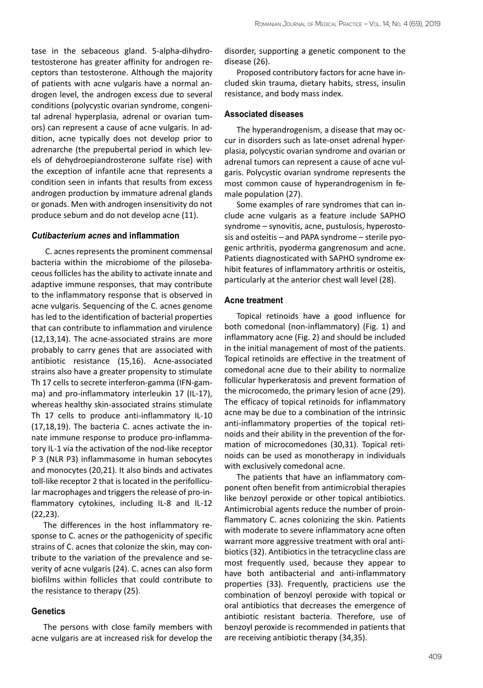tase in the sebaceous gland. 5-alpha-dihydrotestosterone has greater affinity for androgen receptors than testosterone. Although the majority of patients with acne vulgaris have a normal androgen level, the androgen excess due to several conditions (polycystic ovarian syndrome, congenital adrenal hyperplasia, adrenal or ovarian tumors) can represent a cause of acne vulgaris. In addition, acne typically does not develop prior to adrenarche (the prepubertal period in which levels of dehydroepiandrosterone sulfate rise) with the exception of infantile acne that represents a condition seen in infants that results from excess androgen production by immature adrenal glands or gonads. Men with androgen insensitivity do not produce sebum and do not develop acne ([11](https://www.uptodate.com/contents/pathogenesis-clinical-manifestations-and-diagnosis-of-acne-vulgaris/abstract/6)).

#### *Cutibacterium acnes* **and inflammation**

C. acnes represents the prominent commensal bacteria within the microbiome of the pilosebaceous follicles has the ability to activate innate and adaptive immune responses, that may contribute to the inflammatory response that is observed in acne vulgaris. Sequencing of the C. acnes genome has led to the identification of bacterial properties that can contribute to inflammation and virulence (12,13,14). The acne-associated strains are more probably to carry genes that are associated with antibiotic resistance (15,16). Acne-associated strains also have a greater propensity to stimulate Th 17 cells to secrete interferon-gamma (IFN-gamma) and pro-inflammatory interleukin 17 (IL-17), whereas healthy skin-associated strains stimulate Th 17 cells to produce anti-inflammatory IL-10 (17,18,19). The bacteria C. acnes activate the innate immune response to produce pro-inflammatory IL-1 via the activation of the nod-like receptor P 3 (NLR P3) inflammasome in human sebocytes and monocytes (20,21). It also binds and activates toll-like receptor 2 that is located in the perifollicular macrophages and triggers the release of pro-inflammatory cytokines, including IL-8 and IL-12 (22,23).

The differences in the host inflammatory response to C. acnes or the pathogenicity of specific strains of C. acnes that colonize the skin, may contribute to the variation of the prevalence and severity of acne vulgaris (24). C. acnes can also form biofilms within follicles that could contribute to the resistance to therapy ([25](https://www.uptodate.com/contents/pathogenesis-clinical-manifestations-and-diagnosis-of-acne-vulgaris/abstract/20)).

#### **Genetics**

The persons with close family members with acne vulgaris are at increased risk for develop the disorder, supporting a genetic component to the disease (26).

Proposed contributory factors for acne have included skin trauma, dietary habits, stress, insulin resistance, and body mass index.

#### **Associated diseases**

The hyperandrogenism, a disease that may occur in disorders such as late-onset adrenal hyperplasia, polycystic ovarian syndrome and ovarian or adrenal tumors can represent a cause of acne vulgaris. Polycystic ovarian syndrome represents the most common cause of hyperandrogenism in female population (27).

Some examples of rare syndromes that can include acne vulgaris as a feature include SAPHO syndrome – synovitis, acne, pustulosis, hyperostosis and osteitis – and PAPA syndrome – sterile pyogenic arthritis, pyoderma gangrenosum and acne. Patients diagnosticated with SAPHO syndrome exhibit features of inflammatory arthritis or osteitis, particularly at the anterior chest wall level (28).

#### **Acne treatment**

Topical retinoids have a good influence for both comedonal (non-inflammatory) (Fig. 1) and inflammatory acne (Fig. 2) and should be included in the initial management of most of the patients. Topical retinoids are effective in the treatment of comedonal acne due to their ability to normalize follicular hyperkeratosis and prevent formation of the microcomedo, the primary lesion of acne (29). The efficacy of topical retinoids for inflammatory acne may be due to a combination of the intrinsic anti-inflammatory properties of the topical retinoids and their ability in the prevention of the formation of microcomedones (30,31). Topical retinoids can be used as monotherapy in individuals with exclusively comedonal acne.

The patients that have an inflammatory component often benefit from antimicrobial therapies like [benzoyl peroxide](https://www.uptodate.com/contents/benzoyl-peroxide-drug-information?search=acne+vulgaris&topicRef=42&source=see_link) or other topical antibiotics. Antimicrobial agents reduce the number of proinflammatory C. acnes colonizing the skin. Patients with moderate to severe inflammatory acne often warrant more aggressive treatment with oral antibiotics ([32](https://www.uptodate.com/contents/treatment-of-acne-vulgaris/abstract/8)). Antibiotics in the [tetracycline](https://www.uptodate.com/contents/tetracycline-drug-information?search=acne+vulgaris&topicRef=42&source=see_link) class are most frequently used, because they appear to have both antibacterial and anti-inflammatory properties (33). Frequently, practiciens use the combination of [benzoyl peroxide](https://www.uptodate.com/contents/benzoyl-peroxide-drug-information?search=acne+vulgaris&topicRef=42&source=see_link) with topical or oral antibiotics that decreases the emergence of antibiotic resistant bacteria. Therefore, use of benzoyl peroxide is recommended in patients that are receiving antibiotic therapy ([34](https://www.uptodate.com/contents/treatment-of-acne-vulgaris/abstract/7),35).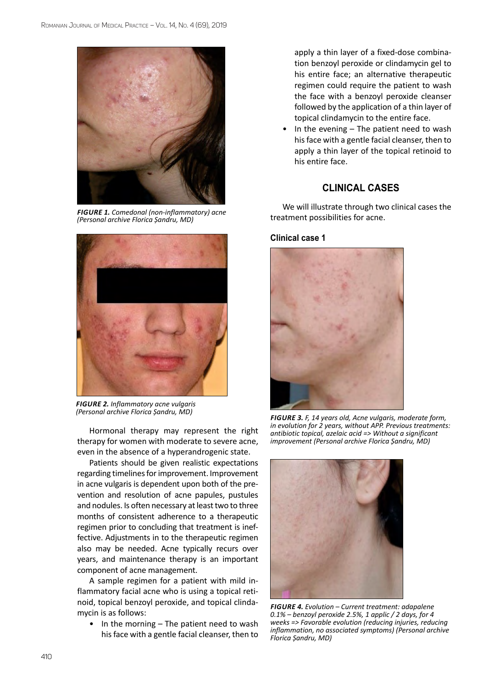

*Figure 1. Comedonal (non-inflammatory) acne (Personal archive Florica Șandru, MD)*



*Figure 2. Inflammatory acne vulgaris (Personal archive Florica Șandru, MD)*

Hormonal therapy may represent the right therapy for women with moderate to severe acne, even in the absence of a hyperandrogenic state.

Patients should be given realistic expectations regarding timelines for improvement. Improvement in acne vulgaris is dependent upon both of the prevention and resolution of acne papules, pustules and nodules. Is often necessary at least two to three months of consistent adherence to a therapeutic regimen prior to concluding that treatment is ineffective. Adjustments in to the therapeutic regimen also may be needed. Acne typically recurs over years, and maintenance therapy is an important component of acne management.

A sample regimen for a patient with mild inflammatory facial acne who is using a topical retinoid, topical benzoyl peroxide, and topical [clinda](https://www.uptodate.com/contents/clindamycin-drug-information?search=acne+vulgaris&topicRef=42&source=see_link)[mycin](https://www.uptodate.com/contents/clindamycin-drug-information?search=acne+vulgaris&topicRef=42&source=see_link) is as follows:

In the morning  $-$  The patient need to wash his face with a gentle facial cleanser, then to

apply a thin layer of a fixed-dose combination [benzoyl peroxide](https://www.uptodate.com/contents/benzoyl-peroxide-drug-information?search=acne+vulgaris&topicRef=42&source=see_link) or [clindamycin](https://www.uptodate.com/contents/clindamycin-drug-information?search=acne+vulgaris&topicRef=42&source=see_link) gel to his entire face; an alternative therapeutic regimen could require the patient to wash the face with a benzoyl peroxide cleanser followed by the application of a thin layer of topical clindamycin to the entire face.

In the evening  $-$  The patient need to wash his face with a gentle facial cleanser, then to apply a thin layer of the topical retinoid to his entire face.

# **CLINICAL CASES**

We will illustrate through two clinical cases the treatment possibilities for acne.

#### **Clinical case 1**



*Figure 3. F, 14 years old, Acne vulgaris, moderate form, in evolution for 2 years, without APP. Previous treatments: antibiotic topical, azelaic acid => Without a significant improvement (Personal archive Florica Șandru, MD)*



*Figure 4. Evolution – Current treatment: adapalene 0.1% – benzoyl peroxide 2.5%, 1 applic / 2 days, for 4 weeks => Favorable evolution (reducing injuries, reducing inflammation, no associated symptoms) (Personal archive Florica Șandru, MD)*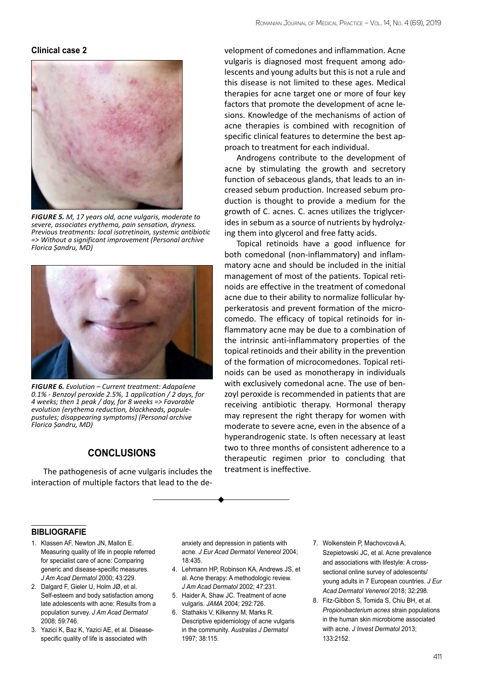## **Clinical case 2**



*Figure 5. M, 17 years old, acne vulgaris, moderate to severe, associates erythema, pain sensation, dryness. Previous treatments: local isotretinoin, systemic antibiotic => Without a significant improvement (Personal archive Florica Șandru, MD)*



*Figure 6. Evolution – Current treatment: Adapalene 0.1% - Benzoyl peroxide 2.5%, 1 application / 2 days, for 4 weeks; then 1 peak / day, for 8 weeks => Favorable evolution (erythema reduction, blackheads, papulepustules; disappearing symptoms) (Personal archive Florica Șandru, MD)*

# **CONCLUSIONS**

The pathogenesis of acne vulgaris includes the interaction of multiple factors that lead to the de-

velopment of comedones and inflammation. Acne vulgaris is diagnosed most frequent among adolescents and young adults but this is not a rule and this disease is not limited to these ages. Medical therapies for acne target one or more of four key factors that promote the development of acne lesions. Knowledge of the mechanisms of action of acne therapies is combined with recognition of specific clinical features to determine the best approach to treatment for each individual.

Androgens contribute to the development of acne by stimulating the growth and secretory function of sebaceous glands, that leads to an increased sebum production. Increased sebum production is thought to provide a medium for the growth of C. acnes. C. acnes utilizes the triglycerides in sebum as a source of nutrients by hydrolyzing them into glycerol and free fatty acids.

Topical retinoids have a good influence for both comedonal (non-inflammatory) and inflammatory acne and should be included in the initial management of most of the patients. Topical retinoids are effective in the treatment of comedonal acne due to their ability to normalize follicular hyperkeratosis and prevent formation of the microcomedo. The efficacy of topical retinoids for inflammatory acne may be due to a combination of the intrinsic anti-inflammatory properties of the topical retinoids and their ability in the prevention of the formation of microcomedones. Topical retinoids can be used as monotherapy in individuals with exclusively comedonal acne. The use of benzoyl peroxide is recommended in patients that are receiving antibiotic therapy. Hormonal therapy may represent the right therapy for women with moderate to severe acne, even in the absence of a hyperandrogenic state. Is often necessary at least two to three months of consistent adherence to a therapeutic regimen prior to concluding that treatment is ineffective.

### **bibliografie**

- 1. [Klassen AF, Newton JN, Mallon E.](https://www.uptodate.com/contents/treatment-of-acne-vulgaris/abstract/1) [Measuring quality of life in people referred](https://www.uptodate.com/contents/treatment-of-acne-vulgaris/abstract/1) [for specialist care of acne: Comparing](https://www.uptodate.com/contents/treatment-of-acne-vulgaris/abstract/1) [generic and disease-specific measures.](https://www.uptodate.com/contents/treatment-of-acne-vulgaris/abstract/1) *[J Am Acad Dermatol](https://www.uptodate.com/contents/treatment-of-acne-vulgaris/abstract/1)* 2000; 43:229.
- 2. [Dalgard F, Gieler U, Holm JØ, et al.](https://www.uptodate.com/contents/treatment-of-acne-vulgaris/abstract/2) [Self-esteem and body satisfaction among](https://www.uptodate.com/contents/treatment-of-acne-vulgaris/abstract/2) [late adolescents with acne: Results from a](https://www.uptodate.com/contents/treatment-of-acne-vulgaris/abstract/2) population survey. *[J Am Acad Dermatol](https://www.uptodate.com/contents/treatment-of-acne-vulgaris/abstract/2)*  [2008; 59:746.](https://www.uptodate.com/contents/treatment-of-acne-vulgaris/abstract/2)
- 3. [Yazici K, Baz K, Yazici AE, et al. Disease](https://www.uptodate.com/contents/treatment-of-acne-vulgaris/abstract/3)[specific quality of life is associated with](https://www.uptodate.com/contents/treatment-of-acne-vulgaris/abstract/3)

[anxiety and depression in patients with](https://www.uptodate.com/contents/treatment-of-acne-vulgaris/abstract/3)  acne. *[J Eur Acad Dermatol Venereol](https://www.uptodate.com/contents/treatment-of-acne-vulgaris/abstract/3)* 2004; [18:435.](https://www.uptodate.com/contents/treatment-of-acne-vulgaris/abstract/3)

- 4. [Lehmann HP, Robinson KA, Andrews JS, et](https://www.uptodate.com/contents/treatment-of-acne-vulgaris/abstract/4) [al. Acne therapy: A methodologic review.](https://www.uptodate.com/contents/treatment-of-acne-vulgaris/abstract/4) *[J Am Acad Dermatol](https://www.uptodate.com/contents/treatment-of-acne-vulgaris/abstract/4)* 2002; 47:231.
- 5. [Haider A, Shaw JC. Treatment of acne](https://www.uptodate.com/contents/treatment-of-acne-vulgaris/abstract/5) vulgaris. *JAMA* [2004; 292:726.](https://www.uptodate.com/contents/treatment-of-acne-vulgaris/abstract/5)
- 6. [Stathakis V, Kilkenny M, Marks R.](https://www.uptodate.com/contents/pathogenesis-clinical-manifestations-and-diagnosis-of-acne-vulgaris/abstract/1) [Descriptive epidemiology of acne vulgaris](https://www.uptodate.com/contents/pathogenesis-clinical-manifestations-and-diagnosis-of-acne-vulgaris/abstract/1) in the community. *[Australas J Dermatol](https://www.uptodate.com/contents/pathogenesis-clinical-manifestations-and-diagnosis-of-acne-vulgaris/abstract/1)* [1997; 38:115.](https://www.uptodate.com/contents/pathogenesis-clinical-manifestations-and-diagnosis-of-acne-vulgaris/abstract/1)
- 7. [Wolkenstein P, Machovcová A,](https://www.uptodate.com/contents/pathogenesis-clinical-manifestations-and-diagnosis-of-acne-vulgaris/abstract/3) [Szepietowski JC, et al. Acne prevalence](https://www.uptodate.com/contents/pathogenesis-clinical-manifestations-and-diagnosis-of-acne-vulgaris/abstract/3) [and associations with lifestyle: A cross](https://www.uptodate.com/contents/pathogenesis-clinical-manifestations-and-diagnosis-of-acne-vulgaris/abstract/3)[sectional online survey of adolescents/](https://www.uptodate.com/contents/pathogenesis-clinical-manifestations-and-diagnosis-of-acne-vulgaris/abstract/3) [young adults in 7 European countries.](https://www.uptodate.com/contents/pathogenesis-clinical-manifestations-and-diagnosis-of-acne-vulgaris/abstract/3) *J Eur [Acad Dermatol Venereol](https://www.uptodate.com/contents/pathogenesis-clinical-manifestations-and-diagnosis-of-acne-vulgaris/abstract/3)* 2018; 32:298.
- 8. [Fitz-Gibbon S, Tomida S, Chiu BH, et al.](https://www.uptodate.com/contents/pathogenesis-clinical-manifestations-and-diagnosis-of-acne-vulgaris/abstract/8) *[Propionibacterium acnes](https://www.uptodate.com/contents/pathogenesis-clinical-manifestations-and-diagnosis-of-acne-vulgaris/abstract/8)* strain populations [in the human skin microbiome associated](https://www.uptodate.com/contents/pathogenesis-clinical-manifestations-and-diagnosis-of-acne-vulgaris/abstract/8) with acne. *[J Invest Dermatol](https://www.uptodate.com/contents/pathogenesis-clinical-manifestations-and-diagnosis-of-acne-vulgaris/abstract/8)* 2013; [133:2152.](https://www.uptodate.com/contents/pathogenesis-clinical-manifestations-and-diagnosis-of-acne-vulgaris/abstract/8)